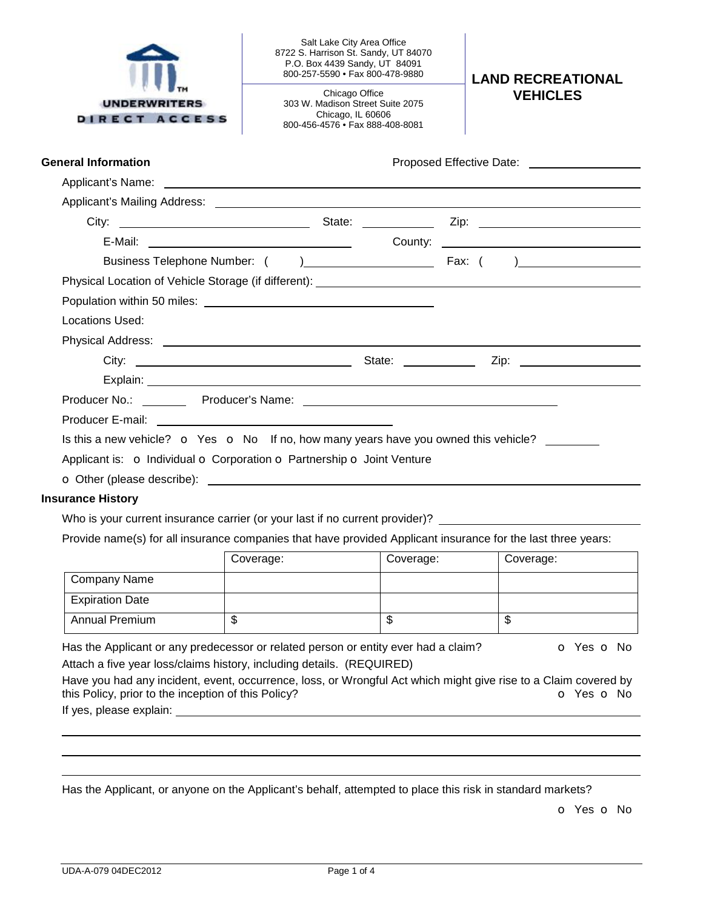| <b>UNDERWRITERS</b> |
|---------------------|
| RECT ACCESS<br>DТ   |

Salt Lake City Area Office 8722 S. Harrison St. Sandy, UT 84070 P.O. Box 4439 Sandy, UT 84091

303 W. Madison Street Suite 2075 Chicago, IL 60606 800-456-4576 • Fax 888-408-8081

**LAND RECREATIONAL** Chicago Office **in the Second VEHICLES** 

| <b>General Information</b>                                                                                                                                                                                                           | Proposed Effective Date: <u>____________________</u> |
|--------------------------------------------------------------------------------------------------------------------------------------------------------------------------------------------------------------------------------------|------------------------------------------------------|
|                                                                                                                                                                                                                                      |                                                      |
|                                                                                                                                                                                                                                      |                                                      |
|                                                                                                                                                                                                                                      |                                                      |
|                                                                                                                                                                                                                                      |                                                      |
|                                                                                                                                                                                                                                      |                                                      |
|                                                                                                                                                                                                                                      |                                                      |
|                                                                                                                                                                                                                                      |                                                      |
| Locations Used:                                                                                                                                                                                                                      |                                                      |
|                                                                                                                                                                                                                                      |                                                      |
|                                                                                                                                                                                                                                      |                                                      |
| Explain: <u>contract and contract and contract and contract and contract and contract and contract and contract and contract and contract and contract and contract and contract and contract and contract and contract and cont</u> |                                                      |
|                                                                                                                                                                                                                                      |                                                      |
|                                                                                                                                                                                                                                      |                                                      |
| Is this a new vehicle? $\bullet$ Yes $\bullet$ No If no, how many years have you owned this vehicle?                                                                                                                                 |                                                      |
| Applicant is: O Individual O Corporation O Partnership O Joint Venture                                                                                                                                                               |                                                      |
|                                                                                                                                                                                                                                      |                                                      |
| <b>Insurance History</b>                                                                                                                                                                                                             |                                                      |

Who is your current insurance carrier (or your last if no current provider)?

Provide name(s) for all insurance companies that have provided Applicant insurance for the last three years:

|                        | Coverage: | Coverage: | Coverage: |
|------------------------|-----------|-----------|-----------|
| Company Name           |           |           |           |
| <b>Expiration Date</b> |           |           |           |
| <b>Annual Premium</b>  | ιIJ       | Ψ         | Ψ         |

Has the Applicant or any predecessor or related person or entity ever had a claim?  $\bullet$  Yes  $\bullet$  No Attach a five year loss/claims history, including details. (REQUIRED)

Have you had any incident, event, occurrence, loss, or Wrongful Act which might give rise to a Claim covered by this Policy, prior to the inception of this Policy? **o Community in the Community Community** of Yes **o** No

If yes, please explain:

Has the Applicant, or anyone on the Applicant's behalf, attempted to place this risk in standard markets?

o Yes o No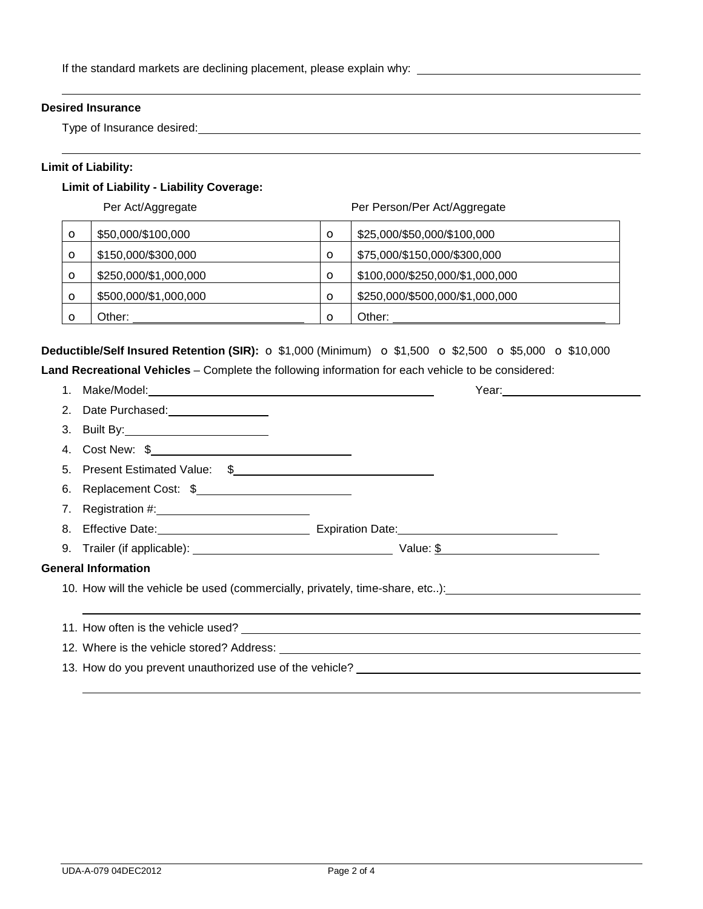# **Desired Insurance**

Type of Insurance desired:

## **Limit of Liability:**

# **Limit of Liability - Liability Coverage:**

Per Act/Aggregate **Per Person/Per Act/Aggregate**  $\bullet$  \$50,000/\$100,000  $\bullet$   $\bullet$  \$25,000/\$50,000/\$100,000  $\bullet$  \$150,000/\$300,000  $\bullet$   $\bullet$  \$75,000/\$150,000/\$300,000  $\bullet$  \$250,000/\$1,000,000  $\bullet$   $\bullet$  \$100,000/\$250,000/\$1,000,000  $\bullet$  \$500,000/\$1,000,000  $\circ$   $\circ$   $\bullet$  \$250,000/\$500,000/\$1,000,000 o Other:  $\vert$  O Other:

**Deductible/Self Insured Retention (SIR):** o \$1,000 (Minimum) o \$1,500 o \$2,500 o \$5,000 o \$10,000

|                                                                              |                                                                                  |  | Year: ____ <b>_________________</b> __ |  |  |
|------------------------------------------------------------------------------|----------------------------------------------------------------------------------|--|----------------------------------------|--|--|
|                                                                              |                                                                                  |  |                                        |  |  |
|                                                                              |                                                                                  |  |                                        |  |  |
|                                                                              | 4. Cost New: \$                                                                  |  |                                        |  |  |
|                                                                              |                                                                                  |  |                                        |  |  |
|                                                                              | 6. Replacement Cost: \$                                                          |  |                                        |  |  |
|                                                                              |                                                                                  |  |                                        |  |  |
|                                                                              |                                                                                  |  |                                        |  |  |
|                                                                              |                                                                                  |  |                                        |  |  |
| <b>General Information</b>                                                   |                                                                                  |  |                                        |  |  |
| 10. How will the vehicle be used (commercially, privately, time-share, etc): |                                                                                  |  |                                        |  |  |
|                                                                              |                                                                                  |  |                                        |  |  |
|                                                                              |                                                                                  |  |                                        |  |  |
|                                                                              |                                                                                  |  |                                        |  |  |
|                                                                              | 13. How do you prevent unauthorized use of the vehicle? ________________________ |  |                                        |  |  |
|                                                                              |                                                                                  |  |                                        |  |  |

**Land Recreational Vehicles** – Complete the following information for each vehicle to be considered: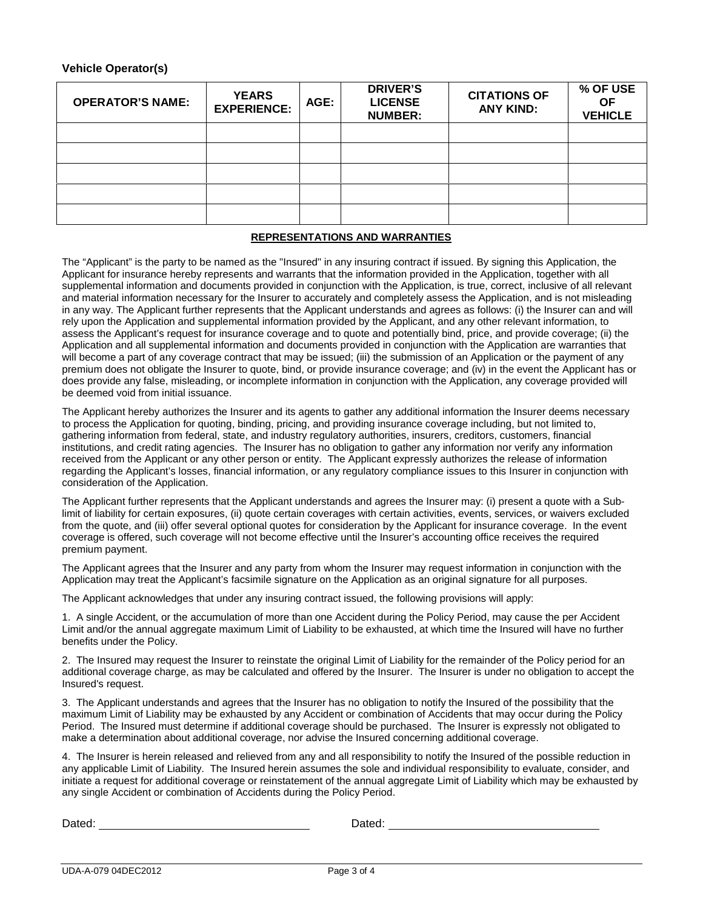### **Vehicle Operator(s)**

| <b>OPERATOR'S NAME:</b> | <b>YEARS</b><br><b>EXPERIENCE:</b> | AGE: | <b>DRIVER'S</b><br><b>LICENSE</b><br><b>NUMBER:</b> | <b>CITATIONS OF</b><br><b>ANY KIND:</b> | % OF USE<br><b>OF</b><br><b>VEHICLE</b> |
|-------------------------|------------------------------------|------|-----------------------------------------------------|-----------------------------------------|-----------------------------------------|
|                         |                                    |      |                                                     |                                         |                                         |
|                         |                                    |      |                                                     |                                         |                                         |
|                         |                                    |      |                                                     |                                         |                                         |
|                         |                                    |      |                                                     |                                         |                                         |
|                         |                                    |      |                                                     |                                         |                                         |

### **REPRESENTATIONS AND WARRANTIES**

The "Applicant" is the party to be named as the "Insured" in any insuring contract if issued. By signing this Application, the Applicant for insurance hereby represents and warrants that the information provided in the Application, together with all supplemental information and documents provided in conjunction with the Application, is true, correct, inclusive of all relevant and material information necessary for the Insurer to accurately and completely assess the Application, and is not misleading in any way. The Applicant further represents that the Applicant understands and agrees as follows: (i) the Insurer can and will rely upon the Application and supplemental information provided by the Applicant, and any other relevant information, to assess the Applicant's request for insurance coverage and to quote and potentially bind, price, and provide coverage; (ii) the Application and all supplemental information and documents provided in conjunction with the Application are warranties that will become a part of any coverage contract that may be issued; (iii) the submission of an Application or the payment of any premium does not obligate the Insurer to quote, bind, or provide insurance coverage; and (iv) in the event the Applicant has or does provide any false, misleading, or incomplete information in conjunction with the Application, any coverage provided will be deemed void from initial issuance.

The Applicant hereby authorizes the Insurer and its agents to gather any additional information the Insurer deems necessary to process the Application for quoting, binding, pricing, and providing insurance coverage including, but not limited to, gathering information from federal, state, and industry regulatory authorities, insurers, creditors, customers, financial institutions, and credit rating agencies. The Insurer has no obligation to gather any information nor verify any information received from the Applicant or any other person or entity. The Applicant expressly authorizes the release of information regarding the Applicant's losses, financial information, or any regulatory compliance issues to this Insurer in conjunction with consideration of the Application.

The Applicant further represents that the Applicant understands and agrees the Insurer may: (i) present a quote with a Sublimit of liability for certain exposures, (ii) quote certain coverages with certain activities, events, services, or waivers excluded from the quote, and (iii) offer several optional quotes for consideration by the Applicant for insurance coverage. In the event coverage is offered, such coverage will not become effective until the Insurer's accounting office receives the required premium payment.

The Applicant agrees that the Insurer and any party from whom the Insurer may request information in conjunction with the Application may treat the Applicant's facsimile signature on the Application as an original signature for all purposes.

The Applicant acknowledges that under any insuring contract issued, the following provisions will apply:

1. A single Accident, or the accumulation of more than one Accident during the Policy Period, may cause the per Accident Limit and/or the annual aggregate maximum Limit of Liability to be exhausted, at which time the Insured will have no further benefits under the Policy.

2. The Insured may request the Insurer to reinstate the original Limit of Liability for the remainder of the Policy period for an additional coverage charge, as may be calculated and offered by the Insurer. The Insurer is under no obligation to accept the Insured's request.

3. The Applicant understands and agrees that the Insurer has no obligation to notify the Insured of the possibility that the maximum Limit of Liability may be exhausted by any Accident or combination of Accidents that may occur during the Policy Period. The Insured must determine if additional coverage should be purchased. The Insurer is expressly not obligated to make a determination about additional coverage, nor advise the Insured concerning additional coverage.

4. The Insurer is herein released and relieved from any and all responsibility to notify the Insured of the possible reduction in any applicable Limit of Liability. The Insured herein assumes the sole and individual responsibility to evaluate, consider, and initiate a request for additional coverage or reinstatement of the annual aggregate Limit of Liability which may be exhausted by any single Accident or combination of Accidents during the Policy Period.

Dated: Dated: